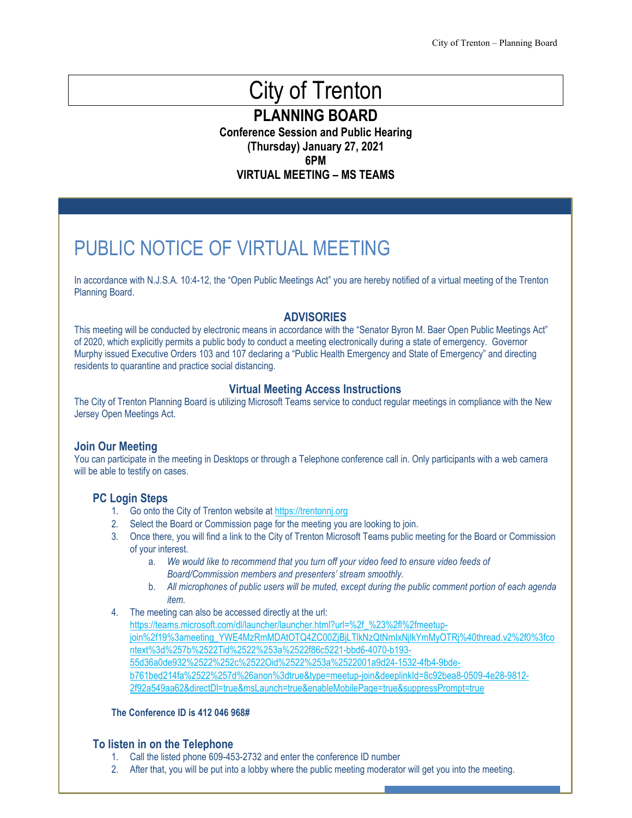# City of Trenton

**PLANNING BOARD**

**Conference Session and Public Hearing (Thursday) January 27, 2021 6PM VIRTUAL MEETING – MS TEAMS**

PUBLIC NOTICE OF VIRTUAL MEETING

In accordance with N.J.S.A. 10:4-12, the "Open Public Meetings Act" you are hereby notified of a virtual meeting of the Trenton Planning Board.

#### **ADVISORIES**

This meeting will be conducted by electronic means in accordance with the "Senator Byron M. Baer Open Public Meetings Act" of 2020, which explicitly permits a public body to conduct a meeting electronically during a state of emergency. Governor Murphy issued Executive Orders 103 and 107 declaring a "Public Health Emergency and State of Emergency" and directing residents to quarantine and practice social distancing.

#### **Virtual Meeting Access Instructions**

The City of Trenton Planning Board is utilizing Microsoft Teams service to conduct regular meetings in compliance with the New Jersey Open Meetings Act.

#### **Join Our Meeting**

You can participate in the meeting in Desktops or through a Telephone conference call in. Only participants with a web camera will be able to testify on cases.

#### **PC Login Steps**

- 1. Go onto the City of Trenton website a[t https://trentonnj.org](https://trentonnj.org/)
- 2. Select the Board or Commission page for the meeting you are looking to join.
- 3. Once there, you will find a link to the City of Trenton Microsoft Teams public meeting for the Board or Commission of your interest.
	- a. *We would like to recommend that you turn off your video feed to ensure video feeds of Board/Commission members and presenters' stream smoothly.*
	- b. *All microphones of public users will be muted, except during the public comment portion of each agenda item.*
- 4. The meeting can also be accessed directly at the url:

[https://teams.microsoft.com/dl/launcher/launcher.html?url=%2f\\_%23%2fl%2fmeetup](https://teams.microsoft.com/dl/launcher/launcher.html?url=%2f_%23%2fl%2fmeetup-join%2f19%3ameeting_YWE4MzRmMDAtOTQ4ZC00ZjBjLTlkNzQtNmIxNjlkYmMyOTRj%40thread.v2%2f0%3fcontext%3d%257b%2522Tid%2522%253a%2522f86c5221-bbd6-4070-b193-55d36a0de932%2522%252c%2522Oid%2522%253a%2522001a9d24-1532-4fb4-9bde-b761bed214fa%2522%257d%26anon%3dtrue&type=meetup-join&deeplinkId=8c92bea8-0509-4e28-9812-2f92a549aa62&directDl=true&msLaunch=true&enableMobilePage=true&suppressPrompt=true)join%2f19%3ameeting\_YWE4MzRmMDAtOTQ4ZC00ZjBjLTlkNzQtNmlxNjlkYmMyOTRj%40thread.v2%2f0%3fco [ntext%3d%257b%2522Tid%2522%253a%2522f86c5221-bbd6-4070-b193-](https://teams.microsoft.com/dl/launcher/launcher.html?url=%2f_%23%2fl%2fmeetup-join%2f19%3ameeting_YWE4MzRmMDAtOTQ4ZC00ZjBjLTlkNzQtNmIxNjlkYmMyOTRj%40thread.v2%2f0%3fcontext%3d%257b%2522Tid%2522%253a%2522f86c5221-bbd6-4070-b193-55d36a0de932%2522%252c%2522Oid%2522%253a%2522001a9d24-1532-4fb4-9bde-b761bed214fa%2522%257d%26anon%3dtrue&type=meetup-join&deeplinkId=8c92bea8-0509-4e28-9812-2f92a549aa62&directDl=true&msLaunch=true&enableMobilePage=true&suppressPrompt=true) [55d36a0de932%2522%252c%2522Oid%2522%253a%2522001a9d24-1532-4fb4-9bde](https://teams.microsoft.com/dl/launcher/launcher.html?url=%2f_%23%2fl%2fmeetup-join%2f19%3ameeting_YWE4MzRmMDAtOTQ4ZC00ZjBjLTlkNzQtNmIxNjlkYmMyOTRj%40thread.v2%2f0%3fcontext%3d%257b%2522Tid%2522%253a%2522f86c5221-bbd6-4070-b193-55d36a0de932%2522%252c%2522Oid%2522%253a%2522001a9d24-1532-4fb4-9bde-b761bed214fa%2522%257d%26anon%3dtrue&type=meetup-join&deeplinkId=8c92bea8-0509-4e28-9812-2f92a549aa62&directDl=true&msLaunch=true&enableMobilePage=true&suppressPrompt=true)[b761bed214fa%2522%257d%26anon%3dtrue&type=meetup-join&deeplinkId=8c92bea8-0509-4e28-9812-](https://teams.microsoft.com/dl/launcher/launcher.html?url=%2f_%23%2fl%2fmeetup-join%2f19%3ameeting_YWE4MzRmMDAtOTQ4ZC00ZjBjLTlkNzQtNmIxNjlkYmMyOTRj%40thread.v2%2f0%3fcontext%3d%257b%2522Tid%2522%253a%2522f86c5221-bbd6-4070-b193-55d36a0de932%2522%252c%2522Oid%2522%253a%2522001a9d24-1532-4fb4-9bde-b761bed214fa%2522%257d%26anon%3dtrue&type=meetup-join&deeplinkId=8c92bea8-0509-4e28-9812-2f92a549aa62&directDl=true&msLaunch=true&enableMobilePage=true&suppressPrompt=true) [2f92a549aa62&directDl=true&msLaunch=true&enableMobilePage=true&suppressPrompt=true](https://teams.microsoft.com/dl/launcher/launcher.html?url=%2f_%23%2fl%2fmeetup-join%2f19%3ameeting_YWE4MzRmMDAtOTQ4ZC00ZjBjLTlkNzQtNmIxNjlkYmMyOTRj%40thread.v2%2f0%3fcontext%3d%257b%2522Tid%2522%253a%2522f86c5221-bbd6-4070-b193-55d36a0de932%2522%252c%2522Oid%2522%253a%2522001a9d24-1532-4fb4-9bde-b761bed214fa%2522%257d%26anon%3dtrue&type=meetup-join&deeplinkId=8c92bea8-0509-4e28-9812-2f92a549aa62&directDl=true&msLaunch=true&enableMobilePage=true&suppressPrompt=true)

#### **The Conference ID is 412 046 968#**

#### **To listen in on the Telephone**

- 1. Call the listed phone 609-453-2732 and enter the conference ID number
- 2. After that, you will be put into a lobby where the public meeting moderator will get you into the meeting.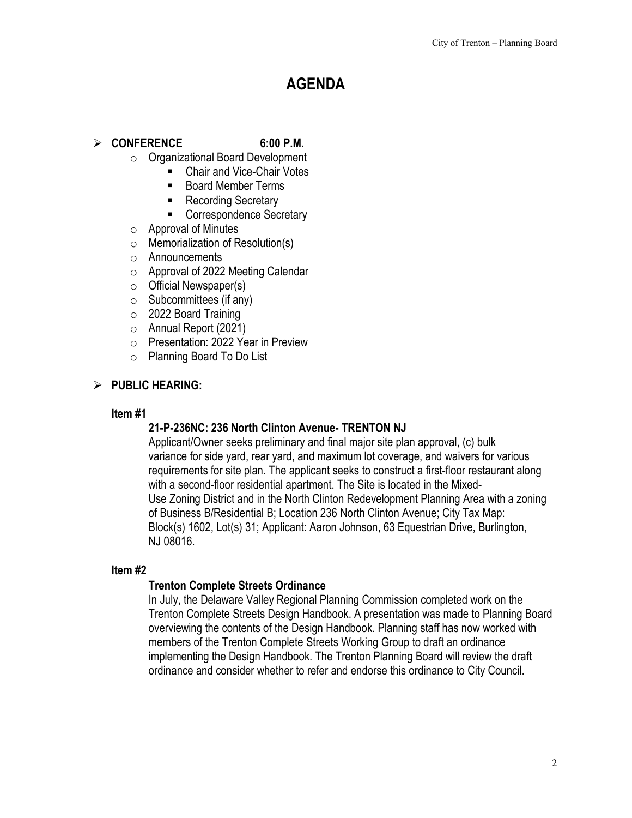# **AGENDA**

# **CONFERENCE 6:00 P.M.**

- o Organizational Board Development
	- Chair and Vice-Chair Votes
	- Board Member Terms
	- Recording Secretary
	- Correspondence Secretary
- $\circ$  Approval of Minutes
- $\circ$  Memorialization of Resolution(s)
- o Announcements
- o Approval of 2022 Meeting Calendar
- o Official Newspaper(s)
- $\circ$  Subcommittees (if any)
- o 2022 Board Training
- o Annual Report (2021)
- o Presentation: 2022 Year in Preview
- o Planning Board To Do List

## **PUBLIC HEARING:**

#### **Item #1**

# **21-P-236NC: 236 North Clinton Avenue- TRENTON NJ**

Applicant/Owner seeks preliminary and final major site plan approval, (c) bulk variance for side yard, rear yard, and maximum lot coverage, and waivers for various requirements for site plan. The applicant seeks to construct a first-floor restaurant along with a second-floor residential apartment. The Site is located in the Mixed-Use Zoning District and in the North Clinton Redevelopment Planning Area with a zoning of Business B/Residential B; Location 236 North Clinton Avenue; City Tax Map: Block(s) 1602, Lot(s) 31; Applicant: Aaron Johnson, 63 Equestrian Drive, Burlington, NJ 08016.

#### **Item #2**

#### **Trenton Complete Streets Ordinance**

In July, the Delaware Valley Regional Planning Commission completed work on the Trenton Complete Streets Design Handbook. A presentation was made to Planning Board overviewing the contents of the Design Handbook. Planning staff has now worked with members of the Trenton Complete Streets Working Group to draft an ordinance implementing the Design Handbook. The Trenton Planning Board will review the draft ordinance and consider whether to refer and endorse this ordinance to City Council.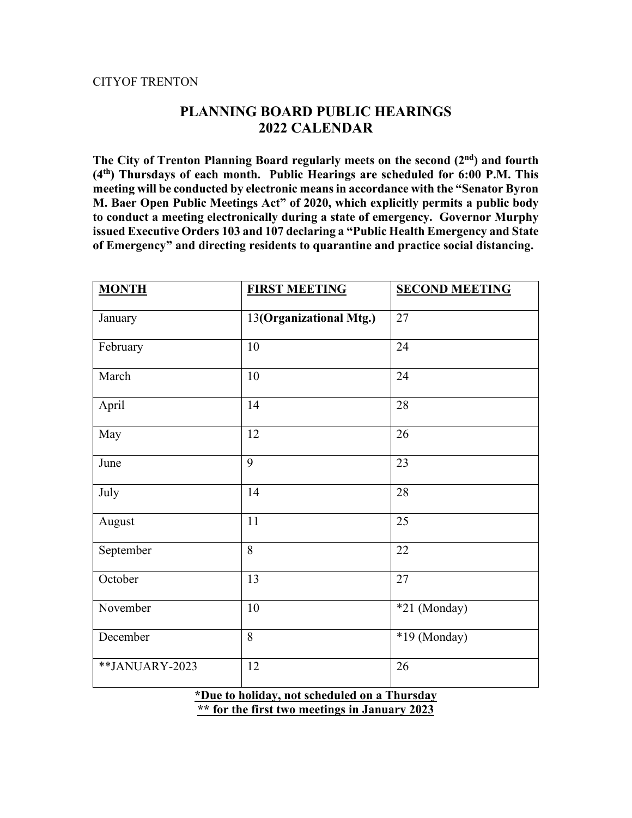#### CITYOF TRENTON

# **PLANNING BOARD PUBLIC HEARINGS 2022 CALENDAR**

The City of Trenton Planning Board regularly meets on the second (2<sup>nd</sup>) and fourth **(4th) Thursdays of each month. Public Hearings are scheduled for 6:00 P.M. This meeting will be conducted by electronic means in accordance with the "Senator Byron M. Baer Open Public Meetings Act" of 2020, which explicitly permits a public body to conduct a meeting electronically during a state of emergency. Governor Murphy issued Executive Orders 103 and 107 declaring a "Public Health Emergency and State of Emergency" and directing residents to quarantine and practice social distancing.**

| <b>MONTH</b>                                 | <b>FIRST MEETING</b>    | <b>SECOND MEETING</b> |
|----------------------------------------------|-------------------------|-----------------------|
| January                                      | 13(Organizational Mtg.) | 27                    |
| February                                     | 10                      | 24                    |
| March                                        | 10                      | 24                    |
| April                                        | 14                      | 28                    |
| May                                          | 12                      | 26                    |
| June                                         | 9                       | 23                    |
| July                                         | 14                      | 28                    |
| August                                       | 11                      | 25                    |
| September                                    | 8                       | 22                    |
| October                                      | 13                      | 27                    |
| November                                     | $10\,$                  | *21 (Monday)          |
| December                                     | 8                       | *19 (Monday)          |
| **JANUARY-2023                               | 12                      | 26                    |
| *Due to holiday, not scheduled on a Thursday |                         |                       |

**\*\* for the first two meetings in January 2023**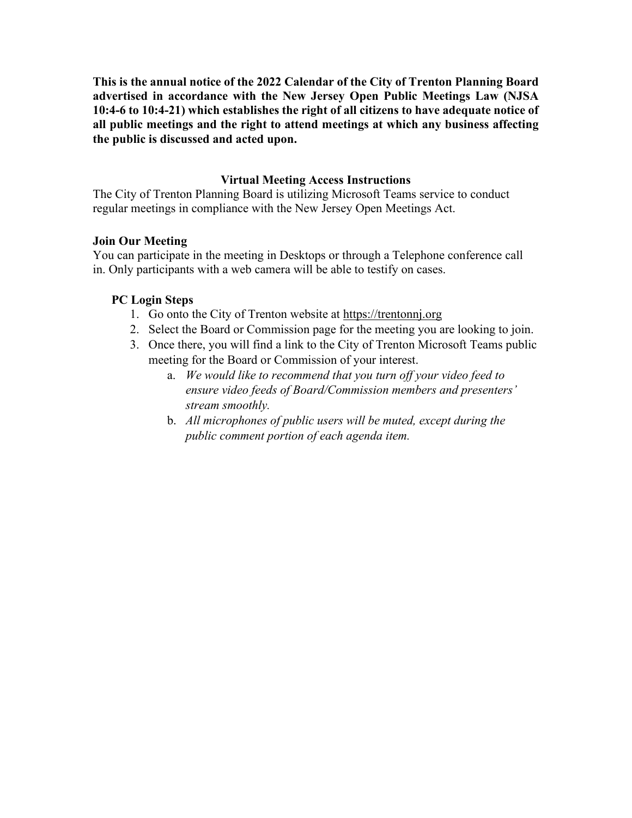**This is the annual notice of the 2022 Calendar of the City of Trenton Planning Board advertised in accordance with the New Jersey Open Public Meetings Law (NJSA 10:4-6 to 10:4-21) which establishes the right of all citizens to have adequate notice of all public meetings and the right to attend meetings at which any business affecting the public is discussed and acted upon.** 

# **Virtual Meeting Access Instructions**

The City of Trenton Planning Board is utilizing Microsoft Teams service to conduct regular meetings in compliance with the New Jersey Open Meetings Act.

## **Join Our Meeting**

You can participate in the meeting in Desktops or through a Telephone conference call in. Only participants with a web camera will be able to testify on cases.

# **PC Login Steps**

- 1. Go onto the City of Trenton website at [https://trentonnj.org](https://trentonnj.org/)
- 2. Select the Board or Commission page for the meeting you are looking to join.
- 3. Once there, you will find a link to the City of Trenton Microsoft Teams public meeting for the Board or Commission of your interest.
	- a. *We would like to recommend that you turn off your video feed to ensure video feeds of Board/Commission members and presenters' stream smoothly.*
	- b. *All microphones of public users will be muted, except during the public comment portion of each agenda item.*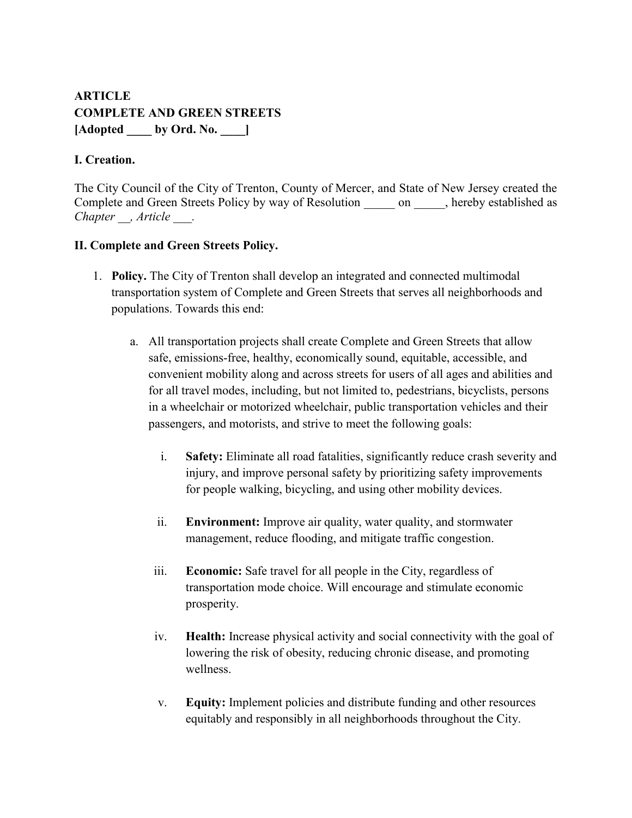# **ARTICLE COMPLETE AND GREEN STREETS [Adopted \_\_\_\_ by Ord. No. \_\_\_\_]**

# **I. Creation.**

The City Council of the City of Trenton, County of Mercer, and State of New Jersey created the Complete and Green Streets Policy by way of Resolution on , hereby established as *Chapter \_\_, Article \_\_\_.*

# **II. Complete and Green Streets Policy.**

- 1. **Policy.** The City of Trenton shall develop an integrated and connected multimodal transportation system of Complete and Green Streets that serves all neighborhoods and populations. Towards this end:
	- a. All transportation projects shall create Complete and Green Streets that allow safe, emissions-free, healthy, economically sound, equitable, accessible, and convenient mobility along and across streets for users of all ages and abilities and for all travel modes, including, but not limited to, pedestrians, bicyclists, persons in a wheelchair or motorized wheelchair, public transportation vehicles and their passengers, and motorists, and strive to meet the following goals:
		- i. **Safety:** Eliminate all road fatalities, significantly reduce crash severity and injury, and improve personal safety by prioritizing safety improvements for people walking, bicycling, and using other mobility devices.
		- ii. **Environment:** Improve air quality, water quality, and stormwater management, reduce flooding, and mitigate traffic congestion.
		- iii. **Economic:** Safe travel for all people in the City, regardless of transportation mode choice. Will encourage and stimulate economic prosperity.
		- iv. **Health:** Increase physical activity and social connectivity with the goal of lowering the risk of obesity, reducing chronic disease, and promoting wellness.
		- v. **Equity:** Implement policies and distribute funding and other resources equitably and responsibly in all neighborhoods throughout the City.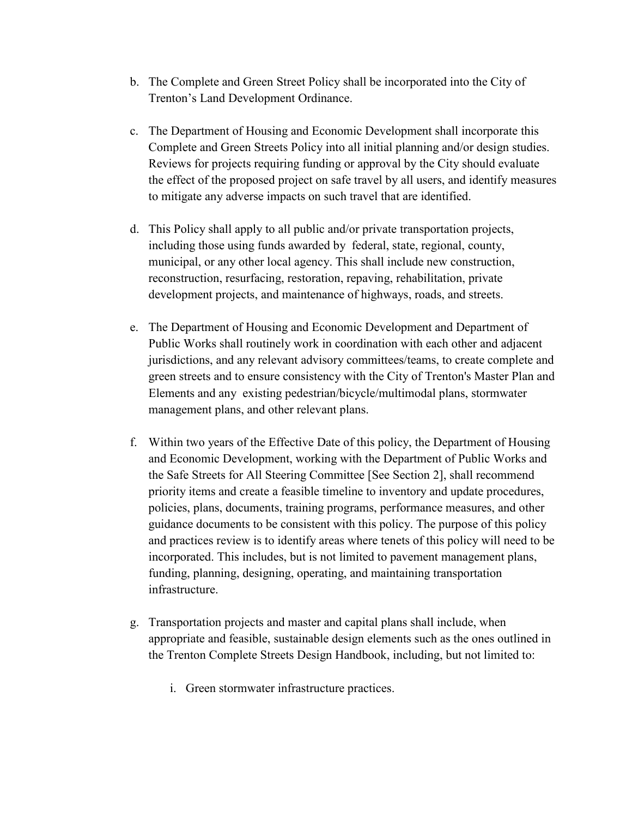- b. The Complete and Green Street Policy shall be incorporated into the City of Trenton's Land Development Ordinance.
- c. The Department of Housing and Economic Development shall incorporate this Complete and Green Streets Policy into all initial planning and/or design studies. Reviews for projects requiring funding or approval by the City should evaluate the effect of the proposed project on safe travel by all users, and identify measures to mitigate any adverse impacts on such travel that are identified.
- d. This Policy shall apply to all public and/or private transportation projects, including those using funds awarded by federal, state, regional, county, municipal, or any other local agency. This shall include new construction, reconstruction, resurfacing, restoration, repaving, rehabilitation, private development projects, and maintenance of highways, roads, and streets.
- e. The Department of Housing and Economic Development and Department of Public Works shall routinely work in coordination with each other and adjacent jurisdictions, and any relevant advisory committees/teams, to create complete and green streets and to ensure consistency with the City of Trenton's Master Plan and Elements and any existing pedestrian/bicycle/multimodal plans, stormwater management plans, and other relevant plans.
- f. Within two years of the Effective Date of this policy, the Department of Housing and Economic Development, working with the Department of Public Works and the Safe Streets for All Steering Committee [See Section 2], shall recommend priority items and create a feasible timeline to inventory and update procedures, policies, plans, documents, training programs, performance measures, and other guidance documents to be consistent with this policy. The purpose of this policy and practices review is to identify areas where tenets of this policy will need to be incorporated. This includes, but is not limited to pavement management plans, funding, planning, designing, operating, and maintaining transportation infrastructure.
- g. Transportation projects and master and capital plans shall include, when appropriate and feasible, sustainable design elements such as the ones outlined in the Trenton Complete Streets Design Handbook, including, but not limited to:
	- i. Green stormwater infrastructure practices.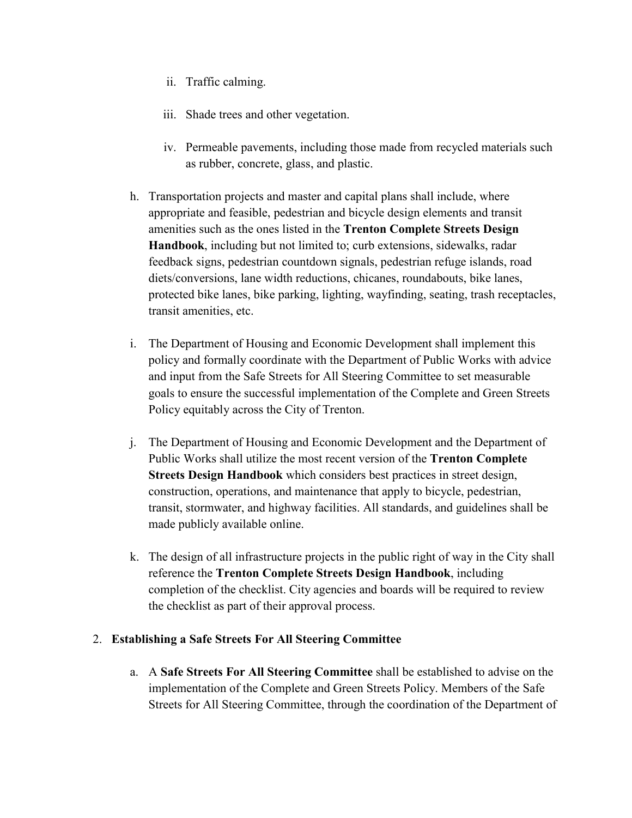- ii. Traffic calming.
- iii. Shade trees and other vegetation.
- iv. Permeable pavements, including those made from recycled materials such as rubber, concrete, glass, and plastic.
- h. Transportation projects and master and capital plans shall include, where appropriate and feasible, pedestrian and bicycle design elements and transit amenities such as the ones listed in the **Trenton Complete Streets Design Handbook**, including but not limited to; curb extensions, sidewalks, radar feedback signs, pedestrian countdown signals, pedestrian refuge islands, road diets/conversions, lane width reductions, chicanes, roundabouts, bike lanes, protected bike lanes, bike parking, lighting, wayfinding, seating, trash receptacles, transit amenities, etc.
- i. The Department of Housing and Economic Development shall implement this policy and formally coordinate with the Department of Public Works with advice and input from the Safe Streets for All Steering Committee to set measurable goals to ensure the successful implementation of the Complete and Green Streets Policy equitably across the City of Trenton.
- j. The Department of Housing and Economic Development and the Department of Public Works shall utilize the most recent version of the **Trenton Complete Streets Design Handbook** which considers best practices in street design, construction, operations, and maintenance that apply to bicycle, pedestrian, transit, stormwater, and highway facilities. All standards, and guidelines shall be made publicly available online.
- k. The design of all infrastructure projects in the public right of way in the City shall reference the **Trenton Complete Streets Design Handbook**, including completion of the checklist. City agencies and boards will be required to review the checklist as part of their approval process.

# 2. **Establishing a Safe Streets For All Steering Committee**

a. A **Safe Streets For All Steering Committee** shall be established to advise on the implementation of the Complete and Green Streets Policy. Members of the Safe Streets for All Steering Committee, through the coordination of the Department of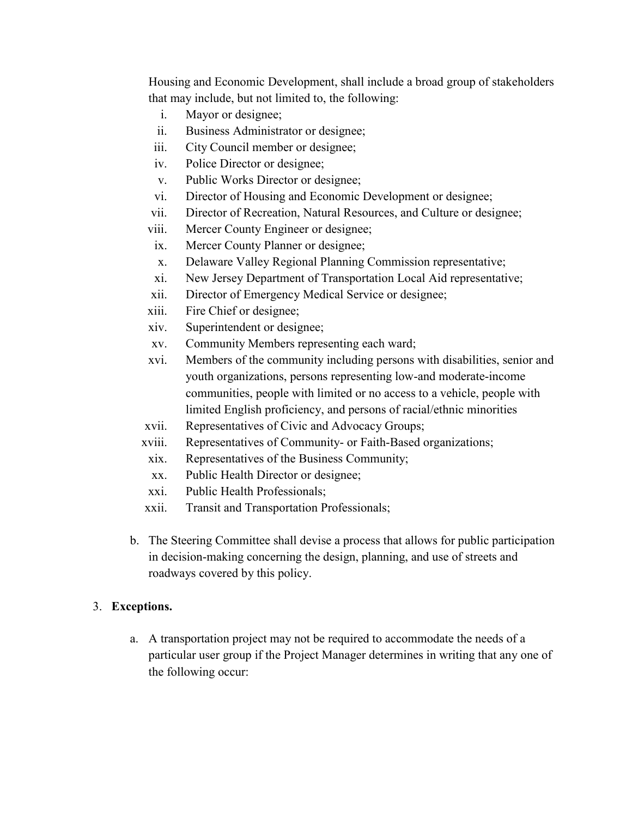Housing and Economic Development, shall include a broad group of stakeholders that may include, but not limited to, the following:

- i. Mayor or designee;
- ii. Business Administrator or designee;
- iii. City Council member or designee;
- iv. Police Director or designee;
- v. Public Works Director or designee;
- vi. Director of Housing and Economic Development or designee;
- vii. Director of Recreation, Natural Resources, and Culture or designee;
- viii. Mercer County Engineer or designee;
- ix. Mercer County Planner or designee;
- x. Delaware Valley Regional Planning Commission representative;
- xi. New Jersey Department of Transportation Local Aid representative;
- xii. Director of Emergency Medical Service or designee;
- xiii. Fire Chief or designee;
- xiv. Superintendent or designee;
- xv. Community Members representing each ward;
- xvi. Members of the community including persons with disabilities, senior and youth organizations, persons representing low-and moderate-income communities, people with limited or no access to a vehicle, people with limited English proficiency, and persons of racial/ethnic minorities
- xvii. Representatives of Civic and Advocacy Groups;
- xviii. Representatives of Community- or Faith-Based organizations;
- xix. Representatives of the Business Community;
- xx. Public Health Director or designee;
- xxi. Public Health Professionals;
- xxii. Transit and Transportation Professionals;
- b. The Steering Committee shall devise a process that allows for public participation in decision-making concerning the design, planning, and use of streets and roadways covered by this policy.

# 3. **Exceptions.**

a. A transportation project may not be required to accommodate the needs of a particular user group if the Project Manager determines in writing that any one of the following occur: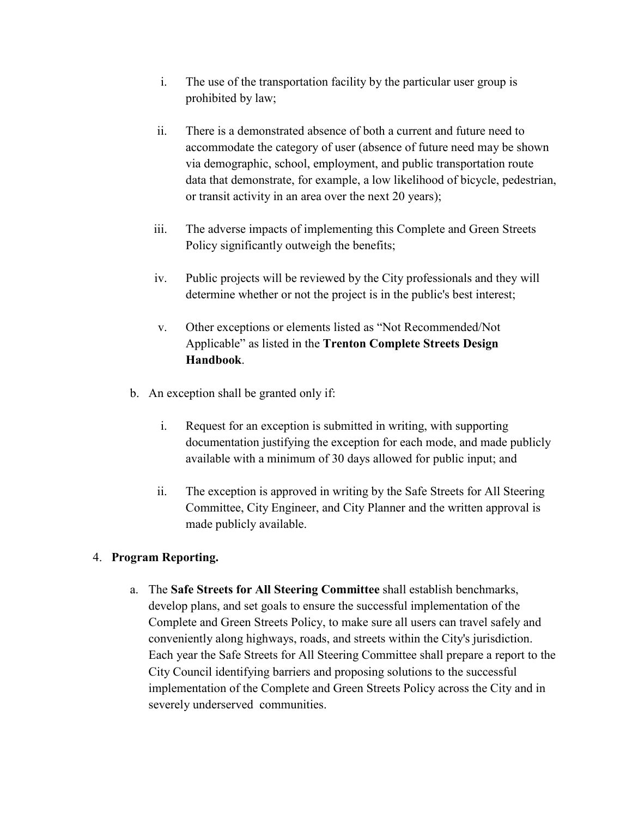- i. The use of the transportation facility by the particular user group is prohibited by law;
- ii. There is a demonstrated absence of both a current and future need to accommodate the category of user (absence of future need may be shown via demographic, school, employment, and public transportation route data that demonstrate, for example, a low likelihood of bicycle, pedestrian, or transit activity in an area over the next 20 years);
- iii. The adverse impacts of implementing this Complete and Green Streets Policy significantly outweigh the benefits;
- iv. Public projects will be reviewed by the City professionals and they will determine whether or not the project is in the public's best interest;
- v. Other exceptions or elements listed as "Not Recommended/Not Applicable" as listed in the **Trenton Complete Streets Design Handbook**.
- b. An exception shall be granted only if:
	- i. Request for an exception is submitted in writing, with supporting documentation justifying the exception for each mode, and made publicly available with a minimum of 30 days allowed for public input; and
	- ii. The exception is approved in writing by the Safe Streets for All Steering Committee, City Engineer, and City Planner and the written approval is made publicly available.

# 4. **Program Reporting.**

a. The **Safe Streets for All Steering Committee** shall establish benchmarks, develop plans, and set goals to ensure the successful implementation of the Complete and Green Streets Policy, to make sure all users can travel safely and conveniently along highways, roads, and streets within the City's jurisdiction. Each year the Safe Streets for All Steering Committee shall prepare a report to the City Council identifying barriers and proposing solutions to the successful implementation of the Complete and Green Streets Policy across the City and in severely underserved communities.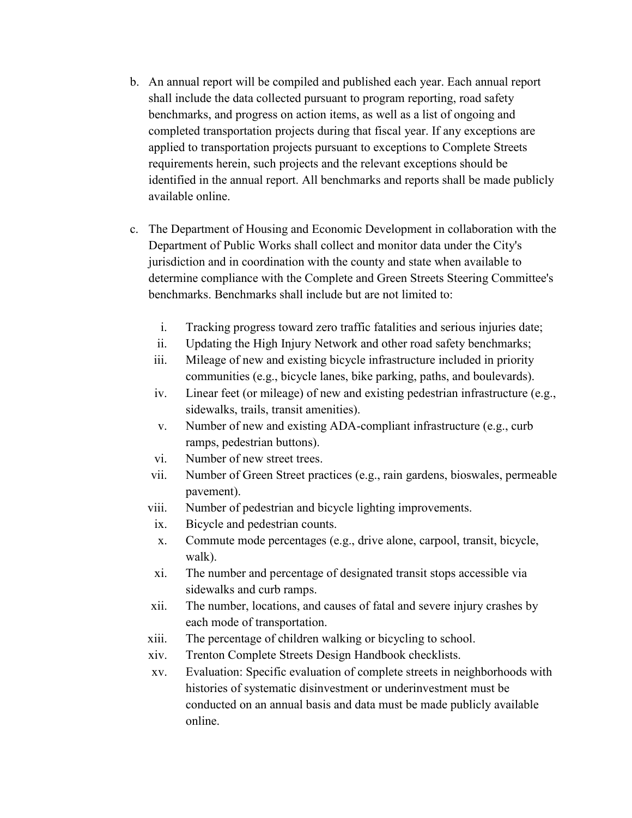- b. An annual report will be compiled and published each year. Each annual report shall include the data collected pursuant to program reporting, road safety benchmarks, and progress on action items, as well as a list of ongoing and completed transportation projects during that fiscal year. If any exceptions are applied to transportation projects pursuant to exceptions to Complete Streets requirements herein, such projects and the relevant exceptions should be identified in the annual report. All benchmarks and reports shall be made publicly available online.
- c. The Department of Housing and Economic Development in collaboration with the Department of Public Works shall collect and monitor data under the City's jurisdiction and in coordination with the county and state when available to determine compliance with the Complete and Green Streets Steering Committee's benchmarks. Benchmarks shall include but are not limited to:
	- i. Tracking progress toward zero traffic fatalities and serious injuries date;
	- ii. Updating the High Injury Network and other road safety benchmarks;
	- iii. Mileage of new and existing bicycle infrastructure included in priority communities (e.g., bicycle lanes, bike parking, paths, and boulevards).
	- iv. Linear feet (or mileage) of new and existing pedestrian infrastructure (e.g., sidewalks, trails, transit amenities).
	- v. Number of new and existing ADA-compliant infrastructure (e.g., curb ramps, pedestrian buttons).
	- vi. Number of new street trees.
	- vii. Number of Green Street practices (e.g., rain gardens, bioswales, permeable pavement).
	- viii. Number of pedestrian and bicycle lighting improvements.
	- ix. Bicycle and pedestrian counts.
	- x. Commute mode percentages (e.g., drive alone, carpool, transit, bicycle, walk).
	- xi. The number and percentage of designated transit stops accessible via sidewalks and curb ramps.
	- xii. The number, locations, and causes of fatal and severe injury crashes by each mode of transportation.
	- xiii. The percentage of children walking or bicycling to school.
	- xiv. Trenton Complete Streets Design Handbook checklists.
	- xv. Evaluation: Specific evaluation of complete streets in neighborhoods with histories of systematic disinvestment or underinvestment must be conducted on an annual basis and data must be made publicly available online.